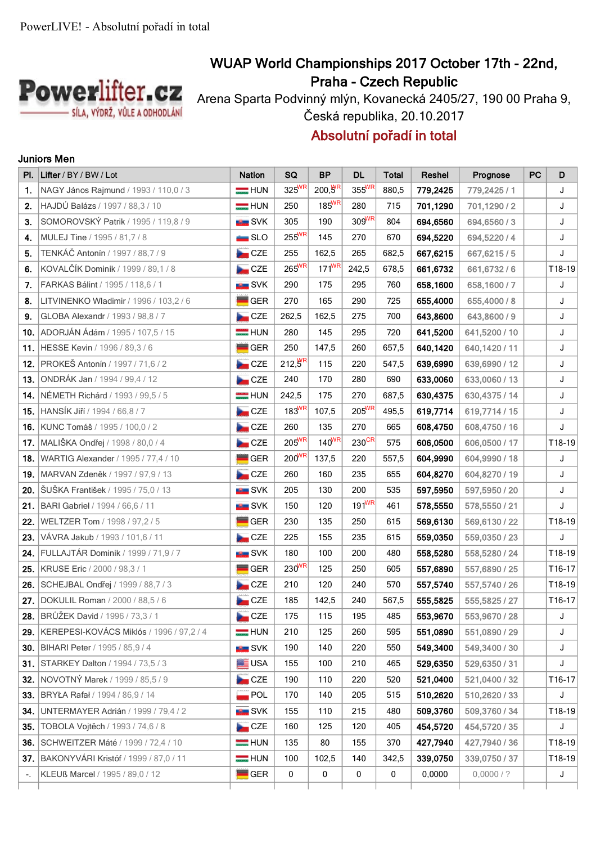

# **WUAP World Championships 2017 October 17th - 22nd, Praha - Czech Republic**

Arena Sparta Podvinný mlýn, Kovanecká 2405/27, 190 00 Praha 9, Česká republika, 20.10.2017

## **Absolutní pořadí in total**

#### **Juniors Men**

| PI. | Lifter / BY / BW / Lot                    | <b>Nation</b>                | SQ                  | <b>BP</b>            | <b>DL</b>           | <b>Total</b> | Reshel   | Prognose      | PC | D      |
|-----|-------------------------------------------|------------------------------|---------------------|----------------------|---------------------|--------------|----------|---------------|----|--------|
| 1.  | NAGY János Rajmund / 1993 / 110,0 / 3     | $=$ HUN                      | $325^{WR}$          | $200, 5^{\text{FR}}$ | 355WR               | 880,5        | 779,2425 | 779,2425 / 1  |    | J      |
| 2.  | HAJDÚ Balázs / 1997 / 88,3 / 10           | $=$ HUN                      | 250                 | $185^{WR}$           | 280                 | 715          | 701,1290 | 701,1290/2    |    | J      |
| 3.  | SOMOROVSKÝ Patrik / 1995 / 119.8 / 9      | <b>SVK</b>                   | 305                 | 190                  | $309$ <sup>WR</sup> | 804          | 694,6560 | 694,6560/3    |    | J      |
| 4.  | MULEJ Tine / 1995 / 81,7 / 8              | $\blacksquare$ SLO           | $255^{WR}$          | 145                  | 270                 | 670          | 694,5220 | 694,5220/4    |    | J      |
| 5.  | TENKÁČ Antonín / 1997 / 88,7 / 9          | CCE                          | 255                 | 162,5                | 265                 | 682,5        | 667,6215 | 667,6215/5    |    | J      |
| 6.  | KOVALČÍK Dominik / 1999 / 89,1 / 8        | $\overline{\phantom{a}}$ CZE | $265^{WR}$          | $171^{WR}$           | 242,5               | 678,5        | 661,6732 | 661,6732/6    |    | T18-19 |
| 7.  | FARKAS Bálint / 1995 / 118,6 / 1          | <b>BER</b> SVK               | 290                 | 175                  | 295                 | 760          | 658,1600 | 658,1600/7    |    | J      |
| 8.  | LITVINENKO Wladimir / 1996 / 103,2 / 6    | <b>GER</b>                   | 270                 | 165                  | 290                 | 725          | 655,4000 | 655,4000 / 8  |    | J      |
| 9.  | GLOBA Alexandr / 1993 / 98,8 / 7          | CCE                          | 262,5               | 162,5                | 275                 | 700          | 643,8600 | 643,8600 / 9  |    | J      |
| 10. | ADORJÁN Ádám / 1995 / 107,5 / 15          | $=$ HUN                      | 280                 | 145                  | 295                 | 720          | 641,5200 | 641,5200 / 10 |    | J      |
| 11. | HESSE Kevin / 1996 / 89,3 / 6             | <b>GER</b>                   | 250                 | 147,5                | 260                 | 657,5        | 640,1420 | 640,1420 / 11 |    | J      |
| 12. | PROKEŠ Antonín / 1997 / 71,6 / 2          | CZE                          | $212,5^{HR}$        | 115                  | 220                 | 547,5        | 639,6990 | 639,6990 / 12 |    | J      |
| 13. | ONDRÁK Jan / 1994 / 99,4 / 12             | $\overline{\phantom{a}}$ CZE | 240                 | 170                  | 280                 | 690          | 633,0060 | 633,0060 / 13 |    | J      |
| 14. | NÉMETH Richárd / 1993 / 99,5 / 5          | $=$ HUN                      | 242,5               | 175                  | 270                 | 687,5        | 630,4375 | 630,4375 / 14 |    | J      |
| 15. | HANSÍK Jiří / 1994 / 66,8 / 7             | <b>CZE</b>                   | $183$ <sup>WR</sup> | 107,5                | $205^{WR}$          | 495,5        | 619,7714 | 619,7714 / 15 |    | J      |
| 16. | KUNC Tomáš / 1995 / 100,0 / 2             | CZE                          | 260                 | 135                  | 270                 | 665          | 608,4750 | 608,4750 / 16 |    | J      |
| 17. | MALIŠKA Ondřej / 1998 / 80,0 / 4          | CZE                          | $205^{WR}$          | $140^{WR}$           | 230 <sup>CR</sup>   | 575          | 606,0500 | 606,0500 / 17 |    | T18-19 |
| 18. | WARTIG Alexander / 1995 / 77,4 / 10       | <b>GER</b>                   | $200^{WR}$          | 137,5                | 220                 | 557,5        | 604,9990 | 604,9990 / 18 |    | J      |
| 19. | MARVAN Zdeněk / 1997 / 97,9 / 13          | CZE                          | 260                 | 160                  | 235                 | 655          | 604,8270 | 604,8270 / 19 |    | J      |
| 20. | ŠUŠKA František / 1995 / 75,0 / 13        | <b>EXAMPLE</b> SVK           | 205                 | 130                  | 200                 | 535          | 597,5950 | 597,5950 / 20 |    | J      |
| 21. | BARI Gabriel / 1994 / 66,6 / 11           | <b>BU</b> SVK                | 150                 | 120                  | $191^{WR}$          | 461          | 578,5550 | 578,5550 / 21 |    | J      |
| 22. | WELTZER Tom / 1998 / 97,2 / 5             | <b>GER</b>                   | 230                 | 135                  | 250                 | 615          | 569,6130 | 569,6130 / 22 |    | T18-19 |
| 23. | VÁVRA Jakub / 1993 / 101,6 / 11           | $\overline{\phantom{a}}$ CZE | 225                 | 155                  | 235                 | 615          | 559,0350 | 559,0350 / 23 |    | J      |
| 24. | FULLAJTÁR Dominik / 1999 / 71,9 / 7       | <b>SVK</b>                   | 180                 | 100                  | 200                 | 480          | 558,5280 | 558,5280 / 24 |    | T18-19 |
| 25. | KRUSE Eric / 2000 / 98,3 / 1              | <b>GER</b>                   | 230 <sup>WR</sup>   | 125                  | 250                 | 605          | 557,6890 | 557,6890 / 25 |    | T16-17 |
| 26. | SCHEJBAL Ondřej / 1999 / 88,7 / 3         | $\overline{\phantom{a}}$ CZE | 210                 | 120                  | 240                 | 570          | 557,5740 | 557,5740 / 26 |    | T18-19 |
| 27. | DOKULIL Roman / 2000 / 88,5 / 6           | CCE                          | 185                 | 142,5                | 240                 | 567,5        | 555,5825 | 555,5825 / 27 |    | T16-17 |
| 28. | BRŮŽEK David / 1996 / 73,3 / 1            | <b>Des</b> CZE               | 175                 | 115                  | 195                 | 485          | 553,9670 | 553,9670 / 28 |    | J      |
| 29. | KEREPESI-KOVÁCS Miklós / 1996 / 97,2 / 4  | $=$ HUN                      | 210                 | 125                  | 260                 | 595          | 551,0890 | 551,0890 / 29 |    | J      |
|     | <b>30.</b> BIHARI Peter / 1995 / 85,9 / 4 | <b>EXAMPLE</b> SVK           | 190                 | 140                  | 220                 | 550          | 549,3400 | 549,3400 / 30 |    | J      |
| 31. | <b>STARKEY Dalton / 1994 / 73,5 / 3</b>   | <b>ED</b> USA                | 155                 | 100                  | 210                 | 465          | 529,6350 | 529,6350 / 31 |    | J      |
| 32. | NOVOTNÝ Marek / 1999 / 85,5 / 9           | <b>Dom</b> CZE               | 190                 | 110                  | 220                 | 520          | 521,0400 | 521,0400 / 32 |    | T16-17 |
| 33. | BRYŁA Rafał / 1994 / 86,9 / 14            | $\overline{\phantom{a}}$ POL | 170                 | 140                  | 205                 | 515          | 510,2620 | 510,2620 / 33 |    | J      |
| 34. | UNTERMAYER Adrián / 1999 / 79,4 / 2       | <b>SVK</b>                   | 155                 | 110                  | 215                 | 480          | 509,3760 | 509,3760 / 34 |    | T18-19 |
| 35. | TOBOLA Vojtěch / 1993 / 74,6 / 8          | CZE                          | 160                 | 125                  | 120                 | 405          | 454,5720 | 454,5720 / 35 |    | J      |
| 36. | SCHWEITZER Máté / 1999 / 72,4 / 10        | $=$ HUN                      | 135                 | 80                   | 155                 | 370          | 427,7940 | 427,7940 / 36 |    | T18-19 |
| 37. | BAKONYVÁRI Kristóf / 1999 / 87,0 / 11     | $=$ HUN                      | 100                 | 102,5                | 140                 | 342,5        | 339,0750 | 339,0750 / 37 |    | T18-19 |
| Ξ.  | KLEUß Marcel / 1995 / 89,0 / 12           | GER                          | 0                   | 0                    | 0                   | 0            | 0,0000   | 0,0000/?      |    | J      |
|     |                                           |                              |                     |                      |                     |              |          |               |    |        |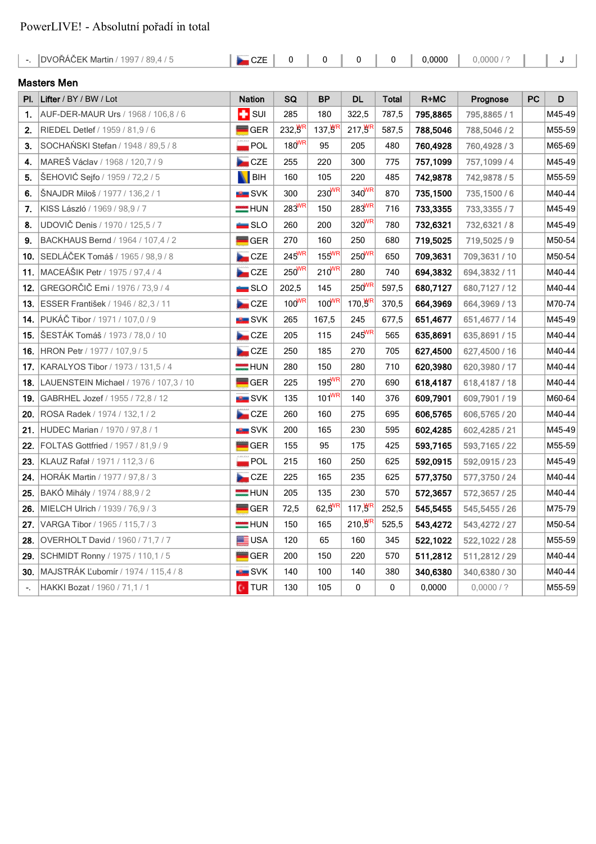### PowerLIVE! - Absolutní pořadí in total

| $\sim$ | DVOŘÁČEK Martin / 1997 / 89,4 / 5      | CZE                          | 0                 | 0                   | 0                  | 0            | 0,0000   | 0,0000/?       |           | J      |  |
|--------|----------------------------------------|------------------------------|-------------------|---------------------|--------------------|--------------|----------|----------------|-----------|--------|--|
|        | <b>Masters Men</b>                     |                              |                   |                     |                    |              |          |                |           |        |  |
| PI.    | Lifter / BY / BW / Lot                 | <b>Nation</b>                | SQ                | <b>BP</b>           | <b>DL</b>          | <b>Total</b> | R+MC     | Prognose       | <b>PC</b> | D      |  |
| 1.     | AUF-DER-MAUR Urs / 1968 / 106,8 / 6    | $\blacksquare$ sur           | 285               | 180                 | 322,5              | 787,5        | 795.8865 | 795,8865 / 1   |           | M45-49 |  |
| 2.     | RIEDEL Detlef / 1959 / 81,9 / 6        | <b>GER</b>                   | 232,8R            | $137,5^{\text{TR}}$ | $217,9^{R}$        | 587,5        | 788,5046 | 788,5046 / 2   |           | M55-59 |  |
| 3.     | SOCHAŃSKI Stefan / 1948 / 89,5 / 8     | $\sqrt{ }$ POL               | $180^{WR}$        | 95                  | 205                | 480          | 760,4928 | 760,4928 / 3   |           | M65-69 |  |
| 4.     | MAREŠ Václav / 1968 / 120,7 / 9        | CZE                          | 255               | 220                 | 300                | 775          | 757,1099 | 757,1099 / 4   |           | M45-49 |  |
| 5.     | ŠEHOVIĆ Sejfo / 1959 / 72,2 / 5        | <b>BIH</b>                   | 160               | 105                 | 220                | 485          | 742,9878 | 742,9878 / 5   |           | M55-59 |  |
| 6.     | ŠNAJDR Miloš / 1977 / 136,2 / 1        | <b>Exercise</b> SVK          | 300               | $230^{WR}$          | 340WR              | 870          | 735,1500 | 735,1500/6     |           | M40-44 |  |
| 7.     | KISS László / 1969 / 98,9 / 7          | <b>EXAMPLE</b> HUN           | 283 <sup>WR</sup> | 150                 | 283WR              | 716          | 733,3355 | 733,3355/7     |           | M45-49 |  |
| 8.     | UDOVIČ Denis / 1970 / 125,5 / 7        | $\equiv$ SLO                 | 260               | 200                 | 320WR              | 780          | 732,6321 | 732,6321/8     |           | M45-49 |  |
| 9.     | BACKHAUS Bernd / 1964 / 107,4 / 2      | <b>GER</b>                   | 270               | 160                 | 250                | 680          | 719,5025 | 719,5025 / 9   |           | M50-54 |  |
| 10.    | SEDLÁČEK Tomáš / 1965 / 98,9 / 8       | CCE                          | $245^{WR}$        | $155^{WR}$          | $250^{WR}$         | 650          | 709,3631 | 709,3631 / 10  |           | M50-54 |  |
| 11.    | MACEÁŠIK Petr / 1975 / 97,4 / 4        | CZE                          | $250^{WR}$        | $210^{WR}$          | 280                | 740          | 694,3832 | 694,3832 / 11  |           | M40-44 |  |
| 12.    | GREGORČIČ Erni / 1976 / 73,9 / 4       | $\blacksquare$ SLO           | 202,5             | 145                 | $250^{WR}$         | 597,5        | 680,7127 | 680,7127 / 12  |           | M40-44 |  |
| 13.    | ESSER František / 1946 / 82,3 / 11     | CCE                          | $100^{WR}$        | $100^{WR}$          | 170, $\frac{W}{P}$ | 370,5        | 664,3969 | 664,3969 / 13  |           | M70-74 |  |
| 14.    | PUKÁČ Tibor / 1971 / 107,0 / 9         | <b>EL SVK</b>                | 265               | 167,5               | 245                | 677,5        | 651,4677 | 651,4677 / 14  |           | M45-49 |  |
| 15.    | ŠESTÁK Tomáš / 1973 / 78,0 / 10        | CZE                          | 205               | 115                 | $245^{WR}$         | 565          | 635,8691 | 635,8691 / 15  |           | M40-44 |  |
| 16.    | HRON Petr / 1977 / 107,9 / 5           | <b>Dom</b> CZE               | 250               | 185                 | 270                | 705          | 627,4500 | 627,4500 / 16  |           | M40-44 |  |
| 17.    | KARALYOS Tibor / 1973 / 131,5 / 4      | $=$ HUN                      | 280               | 150                 | 280                | 710          | 620,3980 | 620,3980 / 17  |           | M40-44 |  |
| 18.    | LAUENSTEIN Michael / 1976 / 107,3 / 10 | <b>GER</b>                   | 225               | $195^{WR}$          | 270                | 690          | 618,4187 | 618,4187 / 18  |           | M40-44 |  |
| 19.    | GABRHEL Jozef / 1955 / 72,8 / 12       | <b>EXAMPLE</b> SVK           | 135               | $101^{WR}$          | 140                | 376          | 609,7901 | 609,7901 / 19  |           | M60-64 |  |
| 20.    | ROSA Radek / 1974 / 132, 1 / 2         | CZE                          | 260               | 160                 | 275                | 695          | 606,5765 | 606,5765 / 20  |           | M40-44 |  |
| 21.    | HUDEC Marian / 1970 / 97,8 / 1         | <b>SVK</b>                   | 200               | 165                 | 230                | 595          | 602,4285 | 602,4285 / 21  |           | M45-49 |  |
| 22.    | FOLTAS Gottfried / 1957 / 81,9 / 9     | <b>GER</b>                   | 155               | 95                  | 175                | 425          | 593,7165 | 593,7165 / 22  |           | M55-59 |  |
| 23.    | KLAUZ Rafał / 1971 / 112,3 / 6         | $\overline{\phantom{a}}$ POL | 215               | 160                 | 250                | 625          | 592,0915 | 592,0915 / 23  |           | M45-49 |  |
| 24.    | HORÁK Martin / 1977 / 97,8 / 3         | <b>Exercise</b> CZE          | 225               | 165                 | 235                | 625          | 577,3750 | 577,3750 / 24  |           | M40-44 |  |
| 25.    | BAKÓ Mihály / 1974 / 88,9 / 2          | $=$ HUN                      | 205               | 135                 | 230                | 570          | 572,3657 | 572,3657 / 25  |           | M40-44 |  |
| 26.    | MIELCH Ulrich / 1939 / 76,9 / 3        | <b>GER</b>                   | 72,5              | $62,5^{WR}$         | $117, 9^R$         | 252,5        | 545,5455 | 545,5455 / 26  |           | M75-79 |  |
| 27.    | VARGA Tibor / 1965 / 115,7 / 3         | $=$ HUN                      | 150               | 165                 | $210, 9^R$         | 525,5        | 543,4272 | 543,4272 / 27  |           | M50-54 |  |
| 28.    | OVERHOLT David / 1960 / 71,7 / 7       | <b>EE</b> USA                | 120               | 65                  | 160                | 345          | 522,1022 | 522, 1022 / 28 |           | M55-59 |  |
| 29.    | SCHMIDT Ronny / 1975 / 110,1 / 5       | <b>GER</b>                   | 200               | 150                 | 220                | 570          | 511,2812 | 511,2812 / 29  |           | M40-44 |  |
| 30.    | MAJSTRÁK Ľubomír / 1974 / 115,4 / 8    | <b>BER</b> SVK               | 140               | 100                 | 140                | 380          | 340,6380 | 340,6380 / 30  |           | M40-44 |  |
| ۰.     | HAKKI Bozat / 1960 / 71,1 / 1          | <b>C</b> TUR                 | 130               | 105                 | 0                  | 0            | 0,0000   | 0,0000/?       |           | M55-59 |  |